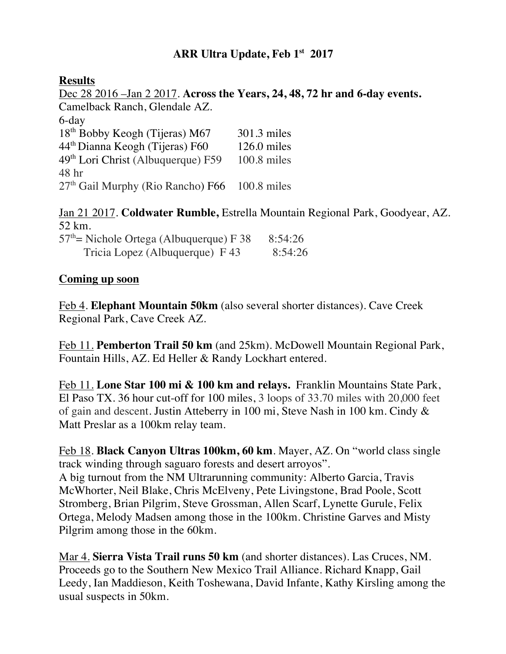# **ARR Ultra Update, Feb 1st 2017**

### **Results**

Dec 28 2016 –Jan 2 2017. **Across the Years, 24, 48, 72 hr and 6-day events.**  Camelback Ranch, Glendale AZ. 6-day 18<sup>th</sup> Bobby Keogh (Tijeras) M67 301.3 miles 44th Dianna Keogh (Tijeras) F60 126.0 miles 49th Lori Christ (Albuquerque) F59 100.8 miles 48 hr 27<sup>th</sup> Gail Murphy (Rio Rancho) F66 100.8 miles

Jan 21 2017. **Coldwater Rumble,** Estrella Mountain Regional Park, Goodyear, AZ. 52 km.

| $57th$ Nichole Ortega (Albuquerque) F 38 | 8:54:26 |
|------------------------------------------|---------|
| Tricia Lopez (Albuquerque) F 43          | 8:54:26 |

### **Coming up soon**

Feb 4. **Elephant Mountain 50km** (also several shorter distances). Cave Creek Regional Park, Cave Creek AZ.

Feb 11. **Pemberton Trail 50 km** (and 25km). McDowell Mountain Regional Park, Fountain Hills, AZ. Ed Heller & Randy Lockhart entered.

Feb 11. **Lone Star 100 mi & 100 km and relays.** Franklin Mountains State Park, El Paso TX. 36 hour cut-off for 100 miles, 3 loops of 33.70 miles with 20,000 feet of gain and descent. Justin Atteberry in 100 mi, Steve Nash in 100 km. Cindy & Matt Preslar as a 100km relay team.

Feb 18. **Black Canyon Ultras 100km, 60 km**. Mayer, AZ. On "world class single track winding through saguaro forests and desert arroyos". A big turnout from the NM Ultrarunning community: Alberto Garcia, Travis McWhorter, Neil Blake, Chris McElveny, Pete Livingstone, Brad Poole, Scott Stromberg, Brian Pilgrim, Steve Grossman, Allen Scarf, Lynette Gurule, Felix Ortega, Melody Madsen among those in the 100km. Christine Garves and Misty Pilgrim among those in the 60km.

Mar 4. **Sierra Vista Trail runs 50 km** (and shorter distances). Las Cruces, NM. Proceeds go to the Southern New Mexico Trail Alliance. Richard Knapp, Gail Leedy, Ian Maddieson, Keith Toshewana, David Infante, Kathy Kirsling among the usual suspects in 50km.